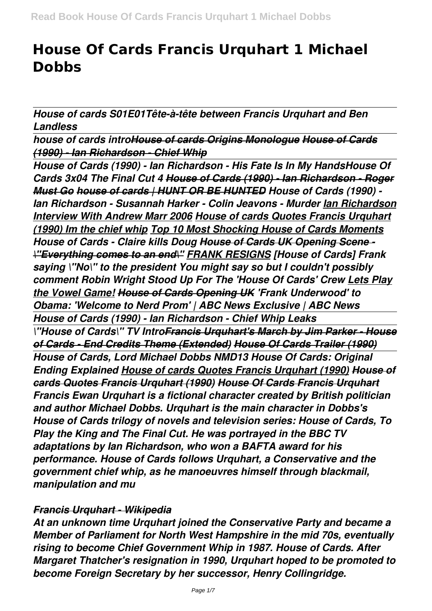# **House Of Cards Francis Urquhart 1 Michael Dobbs**

*House of cards S01E01Tête-à-tête between Francis Urquhart and Ben Landless*

*house of cards introHouse of cards Origins Monologue House of Cards (1990) - Ian Richardson - Chief Whip*

*House of Cards (1990) - Ian Richardson - His Fate Is In My HandsHouse Of Cards 3x04 The Final Cut 4 House of Cards (1990) - Ian Richardson - Roger Must Go house of cards | HUNT OR BE HUNTED House of Cards (1990) - Ian Richardson - Susannah Harker - Colin Jeavons - Murder Ian Richardson Interview With Andrew Marr 2006 House of cards Quotes Francis Urquhart (1990) Im the chief whip Top 10 Most Shocking House of Cards Moments House of Cards - Claire kills Doug House of Cards UK Opening Scene - \"Everything comes to an end\" FRANK RESIGNS [House of Cards] Frank saying \"No\" to the president You might say so but I couldn't possibly comment Robin Wright Stood Up For The 'House Of Cards' Crew Lets Play the Vowel Game! House of Cards Opening UK 'Frank Underwood' to Obama: 'Welcome to Nerd Prom' | ABC News Exclusive | ABC News House of Cards (1990) - Ian Richardson - Chief Whip Leaks \"House of Cards\" TV IntroFrancis Urquhart's March by Jim Parker - House of Cards - End Credits Theme (Extended) House Of Cards Trailer (1990) House of Cards, Lord Michael Dobbs NMD13 House Of Cards: Original Ending Explained House of cards Quotes Francis Urquhart (1990) House of cards Quotes Francis Urquhart (1990) House Of Cards Francis Urquhart Francis Ewan Urquhart is a fictional character created by British politician and author Michael Dobbs. Urquhart is the main character in Dobbs's House of Cards trilogy of novels and television series: House of Cards, To Play the King and The Final Cut. He was portrayed in the BBC TV adaptations by Ian Richardson, who won a BAFTA award for his performance. House of Cards follows Urquhart, a Conservative and the government chief whip, as he manoeuvres himself through blackmail, manipulation and mu*

## *Francis Urquhart - Wikipedia*

*At an unknown time Urquhart joined the Conservative Party and became a Member of Parliament for North West Hampshire in the mid 70s, eventually rising to become Chief Government Whip in 1987. House of Cards. After Margaret Thatcher's resignation in 1990, Urquhart hoped to be promoted to become Foreign Secretary by her successor, Henry Collingridge.*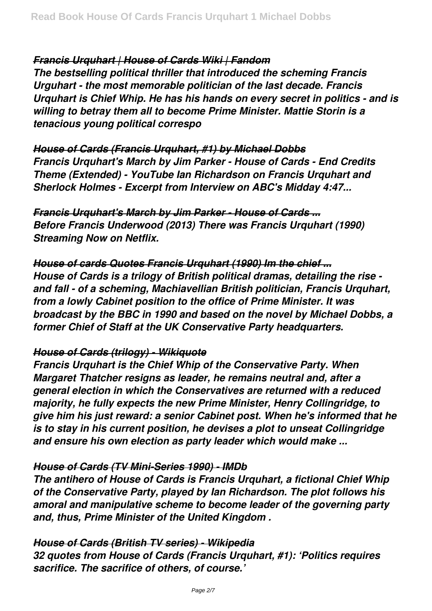*Francis Urquhart | House of Cards Wiki | Fandom*

*The bestselling political thriller that introduced the scheming Francis Urguhart - the most memorable politician of the last decade. Francis Urquhart is Chief Whip. He has his hands on every secret in politics - and is willing to betray them all to become Prime Minister. Mattie Storin is a tenacious young political correspo*

*House of Cards (Francis Urquhart, #1) by Michael Dobbs Francis Urquhart's March by Jim Parker - House of Cards - End Credits Theme (Extended) - YouTube Ian Richardson on Francis Urquhart and Sherlock Holmes - Excerpt from Interview on ABC's Midday 4:47...*

*Francis Urquhart's March by Jim Parker - House of Cards ... Before Francis Underwood (2013) There was Francis Urquhart (1990) Streaming Now on Netflix.*

*House of cards Quotes Francis Urquhart (1990) Im the chief ... House of Cards is a trilogy of British political dramas, detailing the rise and fall - of a scheming, Machiavellian British politician, Francis Urquhart, from a lowly Cabinet position to the office of Prime Minister. It was broadcast by the BBC in 1990 and based on the novel by Michael Dobbs, a former Chief of Staff at the UK Conservative Party headquarters.*

## *House of Cards (trilogy) - Wikiquote*

*Francis Urquhart is the Chief Whip of the Conservative Party. When Margaret Thatcher resigns as leader, he remains neutral and, after a general election in which the Conservatives are returned with a reduced majority, he fully expects the new Prime Minister, Henry Collingridge, to give him his just reward: a senior Cabinet post. When he's informed that he is to stay in his current position, he devises a plot to unseat Collingridge and ensure his own election as party leader which would make ...*

# *House of Cards (TV Mini-Series 1990) - IMDb*

*The antihero of House of Cards is Francis Urquhart, a fictional Chief Whip of the Conservative Party, played by Ian Richardson. The plot follows his amoral and manipulative scheme to become leader of the governing party and, thus, Prime Minister of the United Kingdom .*

## *House of Cards (British TV series) - Wikipedia*

*32 quotes from House of Cards (Francis Urquhart, #1): 'Politics requires sacrifice. The sacrifice of others, of course.'*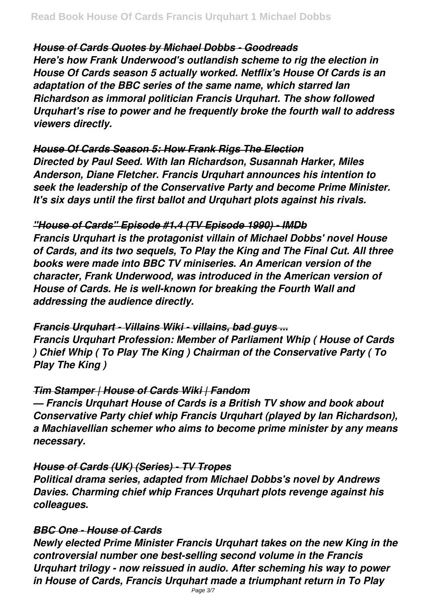# *House of Cards Quotes by Michael Dobbs - Goodreads*

*Here's how Frank Underwood's outlandish scheme to rig the election in House Of Cards season 5 actually worked. Netflix's House Of Cards is an adaptation of the BBC series of the same name, which starred Ian Richardson as immoral politician Francis Urquhart. The show followed Urquhart's rise to power and he frequently broke the fourth wall to address viewers directly.*

# *House Of Cards Season 5: How Frank Rigs The Election*

*Directed by Paul Seed. With Ian Richardson, Susannah Harker, Miles Anderson, Diane Fletcher. Francis Urquhart announces his intention to seek the leadership of the Conservative Party and become Prime Minister. It's six days until the first ballot and Urquhart plots against his rivals.*

# *"House of Cards" Episode #1.4 (TV Episode 1990) - IMDb*

*Francis Urquhart is the protagonist villain of Michael Dobbs' novel House of Cards, and its two sequels, To Play the King and The Final Cut. All three books were made into BBC TV miniseries. An American version of the character, Frank Underwood, was introduced in the American version of House of Cards. He is well-known for breaking the Fourth Wall and addressing the audience directly.*

## *Francis Urquhart - Villains Wiki - villains, bad guys ...*

*Francis Urquhart Profession: Member of Parliament Whip ( House of Cards ) Chief Whip ( To Play The King ) Chairman of the Conservative Party ( To Play The King )*

## *Tim Stamper | House of Cards Wiki | Fandom*

*— Francis Urquhart House of Cards is a British TV show and book about Conservative Party chief whip Francis Urquhart (played by Ian Richardson), a Machiavellian schemer who aims to become prime minister by any means necessary.*

# *House of Cards (UK) (Series) - TV Tropes*

*Political drama series, adapted from Michael Dobbs's novel by Andrews Davies. Charming chief whip Frances Urquhart plots revenge against his colleagues.*

# *BBC One - House of Cards*

*Newly elected Prime Minister Francis Urquhart takes on the new King in the controversial number one best-selling second volume in the Francis Urquhart trilogy - now reissued in audio. After scheming his way to power in House of Cards, Francis Urquhart made a triumphant return in To Play*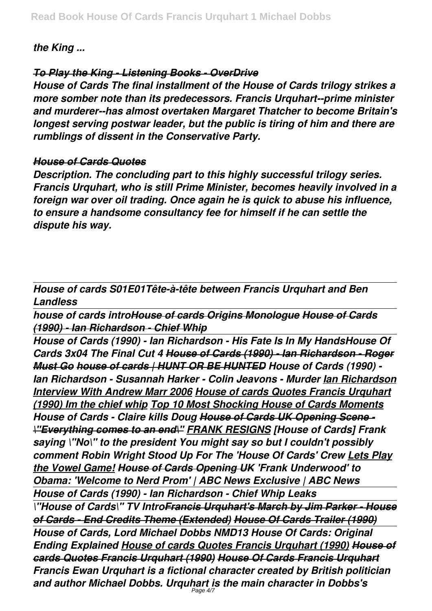*the King ...*

# *To Play the King - Listening Books - OverDrive*

*House of Cards The final installment of the House of Cards trilogy strikes a more somber note than its predecessors. Francis Urquhart--prime minister and murderer--has almost overtaken Margaret Thatcher to become Britain's longest serving postwar leader, but the public is tiring of him and there are rumblings of dissent in the Conservative Party.*

## *House of Cards Quotes*

*Description. The concluding part to this highly successful trilogy series. Francis Urquhart, who is still Prime Minister, becomes heavily involved in a foreign war over oil trading. Once again he is quick to abuse his influence, to ensure a handsome consultancy fee for himself if he can settle the dispute his way.*

*House of cards S01E01Tête-à-tête between Francis Urquhart and Ben Landless*

*house of cards introHouse of cards Origins Monologue House of Cards (1990) - Ian Richardson - Chief Whip*

*House of Cards (1990) - Ian Richardson - His Fate Is In My HandsHouse Of Cards 3x04 The Final Cut 4 House of Cards (1990) - Ian Richardson - Roger Must Go house of cards | HUNT OR BE HUNTED House of Cards (1990) - Ian Richardson - Susannah Harker - Colin Jeavons - Murder Ian Richardson Interview With Andrew Marr 2006 House of cards Quotes Francis Urquhart (1990) Im the chief whip Top 10 Most Shocking House of Cards Moments House of Cards - Claire kills Doug House of Cards UK Opening Scene - \"Everything comes to an end\" FRANK RESIGNS [House of Cards] Frank saying \"No\" to the president You might say so but I couldn't possibly comment Robin Wright Stood Up For The 'House Of Cards' Crew Lets Play the Vowel Game! House of Cards Opening UK 'Frank Underwood' to Obama: 'Welcome to Nerd Prom' | ABC News Exclusive | ABC News House of Cards (1990) - Ian Richardson - Chief Whip Leaks \"House of Cards\" TV IntroFrancis Urquhart's March by Jim Parker - House of Cards - End Credits Theme (Extended) House Of Cards Trailer (1990) House of Cards, Lord Michael Dobbs NMD13 House Of Cards: Original Ending Explained House of cards Quotes Francis Urquhart (1990) House of cards Quotes Francis Urquhart (1990) House Of Cards Francis Urquhart Francis Ewan Urquhart is a fictional character created by British politician and author Michael Dobbs. Urquhart is the main character in Dobbs's*

Page 4/7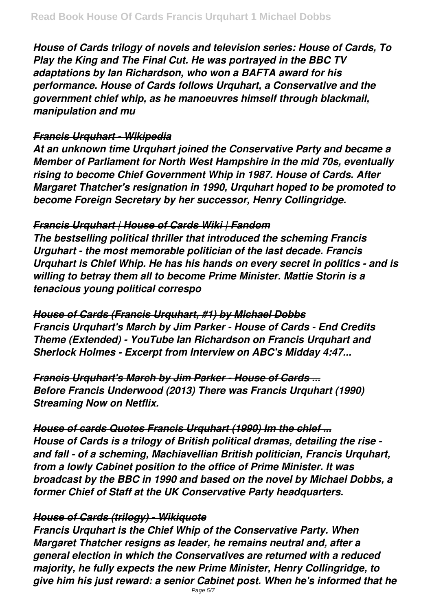*House of Cards trilogy of novels and television series: House of Cards, To Play the King and The Final Cut. He was portrayed in the BBC TV adaptations by Ian Richardson, who won a BAFTA award for his performance. House of Cards follows Urquhart, a Conservative and the government chief whip, as he manoeuvres himself through blackmail, manipulation and mu*

# *Francis Urquhart - Wikipedia*

*At an unknown time Urquhart joined the Conservative Party and became a Member of Parliament for North West Hampshire in the mid 70s, eventually rising to become Chief Government Whip in 1987. House of Cards. After Margaret Thatcher's resignation in 1990, Urquhart hoped to be promoted to become Foreign Secretary by her successor, Henry Collingridge.*

# *Francis Urquhart | House of Cards Wiki | Fandom*

*The bestselling political thriller that introduced the scheming Francis Urguhart - the most memorable politician of the last decade. Francis Urquhart is Chief Whip. He has his hands on every secret in politics - and is willing to betray them all to become Prime Minister. Mattie Storin is a tenacious young political correspo*

*House of Cards (Francis Urquhart, #1) by Michael Dobbs Francis Urquhart's March by Jim Parker - House of Cards - End Credits Theme (Extended) - YouTube Ian Richardson on Francis Urquhart and Sherlock Holmes - Excerpt from Interview on ABC's Midday 4:47...*

*Francis Urquhart's March by Jim Parker - House of Cards ... Before Francis Underwood (2013) There was Francis Urquhart (1990) Streaming Now on Netflix.*

*House of cards Quotes Francis Urquhart (1990) Im the chief ... House of Cards is a trilogy of British political dramas, detailing the rise and fall - of a scheming, Machiavellian British politician, Francis Urquhart, from a lowly Cabinet position to the office of Prime Minister. It was broadcast by the BBC in 1990 and based on the novel by Michael Dobbs, a former Chief of Staff at the UK Conservative Party headquarters.*

# *House of Cards (trilogy) - Wikiquote*

*Francis Urquhart is the Chief Whip of the Conservative Party. When Margaret Thatcher resigns as leader, he remains neutral and, after a general election in which the Conservatives are returned with a reduced majority, he fully expects the new Prime Minister, Henry Collingridge, to give him his just reward: a senior Cabinet post. When he's informed that he*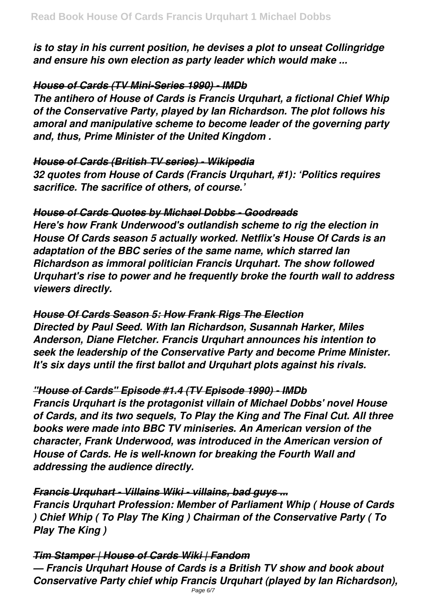*is to stay in his current position, he devises a plot to unseat Collingridge and ensure his own election as party leader which would make ...*

# *House of Cards (TV Mini-Series 1990) - IMDb*

*The antihero of House of Cards is Francis Urquhart, a fictional Chief Whip of the Conservative Party, played by Ian Richardson. The plot follows his amoral and manipulative scheme to become leader of the governing party and, thus, Prime Minister of the United Kingdom .*

## *House of Cards (British TV series) - Wikipedia*

*32 quotes from House of Cards (Francis Urquhart, #1): 'Politics requires sacrifice. The sacrifice of others, of course.'*

# *House of Cards Quotes by Michael Dobbs - Goodreads*

*Here's how Frank Underwood's outlandish scheme to rig the election in House Of Cards season 5 actually worked. Netflix's House Of Cards is an adaptation of the BBC series of the same name, which starred Ian Richardson as immoral politician Francis Urquhart. The show followed Urquhart's rise to power and he frequently broke the fourth wall to address viewers directly.*

*House Of Cards Season 5: How Frank Rigs The Election Directed by Paul Seed. With Ian Richardson, Susannah Harker, Miles Anderson, Diane Fletcher. Francis Urquhart announces his intention to seek the leadership of the Conservative Party and become Prime Minister. It's six days until the first ballot and Urquhart plots against his rivals.*

## *"House of Cards" Episode #1.4 (TV Episode 1990) - IMDb*

*Francis Urquhart is the protagonist villain of Michael Dobbs' novel House of Cards, and its two sequels, To Play the King and The Final Cut. All three books were made into BBC TV miniseries. An American version of the character, Frank Underwood, was introduced in the American version of House of Cards. He is well-known for breaking the Fourth Wall and addressing the audience directly.*

# *Francis Urquhart - Villains Wiki - villains, bad guys ...*

*Francis Urquhart Profession: Member of Parliament Whip ( House of Cards ) Chief Whip ( To Play The King ) Chairman of the Conservative Party ( To Play The King )*

# *Tim Stamper | House of Cards Wiki | Fandom*

*— Francis Urquhart House of Cards is a British TV show and book about Conservative Party chief whip Francis Urquhart (played by Ian Richardson),*